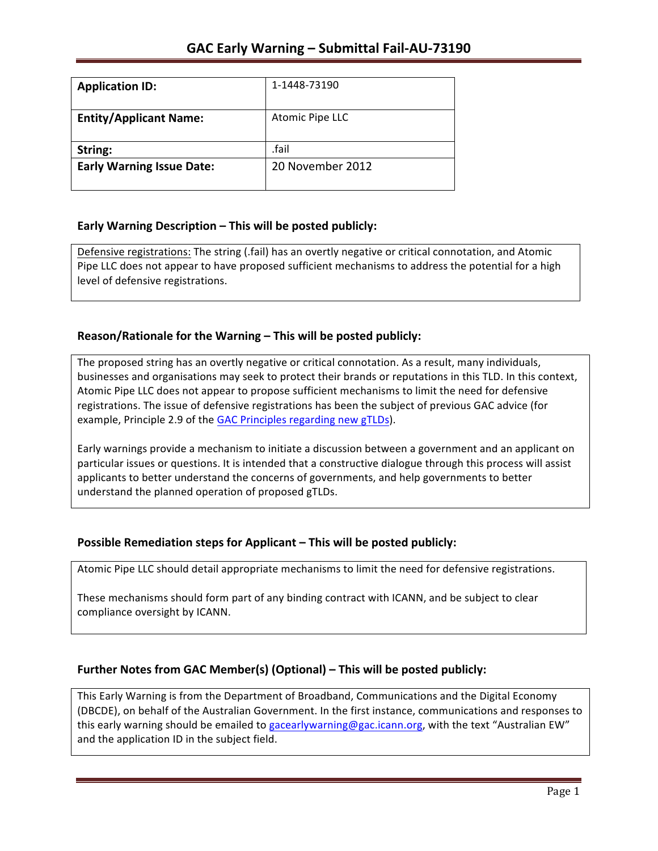| <b>Application ID:</b>           | 1-1448-73190     |
|----------------------------------|------------------|
| <b>Entity/Applicant Name:</b>    | Atomic Pipe LLC  |
|                                  |                  |
| String:                          | .fail            |
| <b>Early Warning Issue Date:</b> | 20 November 2012 |
|                                  |                  |

### **Early Warning Description – This will be posted publicly:**

Defensive registrations: The string (.fail) has an overtly negative or critical connotation, and Atomic Pipe LLC does not appear to have proposed sufficient mechanisms to address the potential for a high level of defensive registrations.

### Reason/Rationale for the Warning – This will be posted publicly:

The proposed string has an overtly negative or critical connotation. As a result, many individuals, businesses and organisations may seek to protect their brands or reputations in this TLD. In this context, Atomic Pipe LLC does not appear to propose sufficient mechanisms to limit the need for defensive registrations. The issue of defensive registrations has been the subject of previous GAC advice (for example, Principle 2.9 of the GAC Principles regarding new gTLDs).

Early warnings provide a mechanism to initiate a discussion between a government and an applicant on particular issues or questions. It is intended that a constructive dialogue through this process will assist applicants to better understand the concerns of governments, and help governments to better understand the planned operation of proposed gTLDs.

### **Possible Remediation steps for Applicant – This will be posted publicly:**

Atomic Pipe LLC should detail appropriate mechanisms to limit the need for defensive registrations.

These mechanisms should form part of any binding contract with ICANN, and be subject to clear compliance oversight by ICANN.

## **Further Notes from GAC Member(s) (Optional) – This will be posted publicly:**

This Early Warning is from the Department of Broadband, Communications and the Digital Economy (DBCDE), on behalf of the Australian Government. In the first instance, communications and responses to this early warning should be emailed to gacearlywarning@gac.icann.org, with the text "Australian EW" and the application ID in the subject field.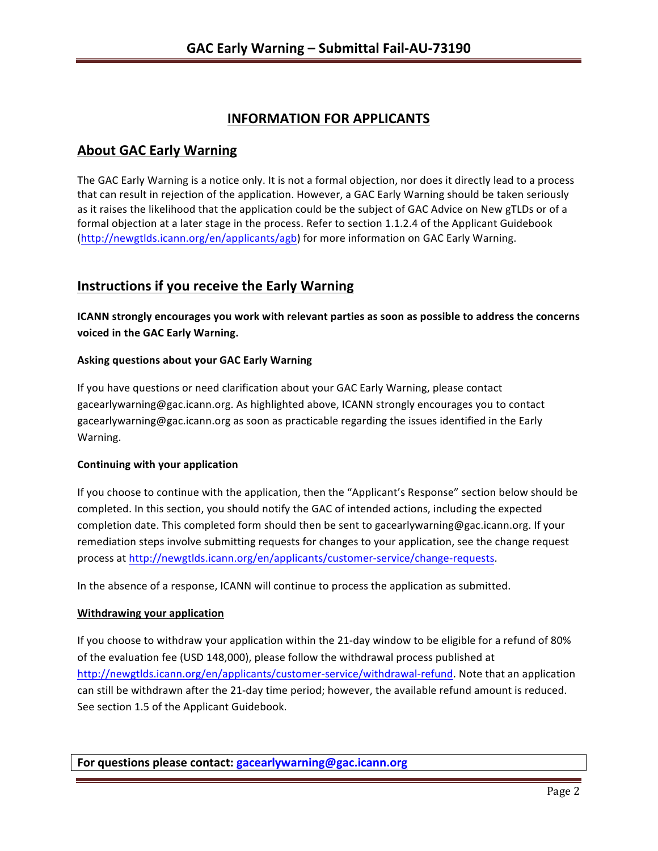# **INFORMATION FOR APPLICANTS**

## **About GAC Early Warning**

The GAC Early Warning is a notice only. It is not a formal objection, nor does it directly lead to a process that can result in rejection of the application. However, a GAC Early Warning should be taken seriously as it raises the likelihood that the application could be the subject of GAC Advice on New gTLDs or of a formal objection at a later stage in the process. Refer to section 1.1.2.4 of the Applicant Guidebook (http://newgtlds.icann.org/en/applicants/agb) for more information on GAC Early Warning.

## **Instructions if you receive the Early Warning**

**ICANN** strongly encourages you work with relevant parties as soon as possible to address the concerns **voiced in the GAC Early Warning.** 

#### **Asking questions about your GAC Early Warning**

If you have questions or need clarification about your GAC Early Warning, please contact gacearlywarning@gac.icann.org. As highlighted above, ICANN strongly encourages you to contact gacearlywarning@gac.icann.org as soon as practicable regarding the issues identified in the Early Warning. 

#### **Continuing with your application**

If you choose to continue with the application, then the "Applicant's Response" section below should be completed. In this section, you should notify the GAC of intended actions, including the expected completion date. This completed form should then be sent to gacearlywarning@gac.icann.org. If your remediation steps involve submitting requests for changes to your application, see the change request process at http://newgtlds.icann.org/en/applicants/customer-service/change-requests.

In the absence of a response, ICANN will continue to process the application as submitted.

#### **Withdrawing your application**

If you choose to withdraw your application within the 21-day window to be eligible for a refund of 80% of the evaluation fee (USD 148,000), please follow the withdrawal process published at http://newgtlds.icann.org/en/applicants/customer-service/withdrawal-refund. Note that an application can still be withdrawn after the 21-day time period; however, the available refund amount is reduced. See section 1.5 of the Applicant Guidebook.

**For questions please contact: gacearlywarning@gac.icann.org**